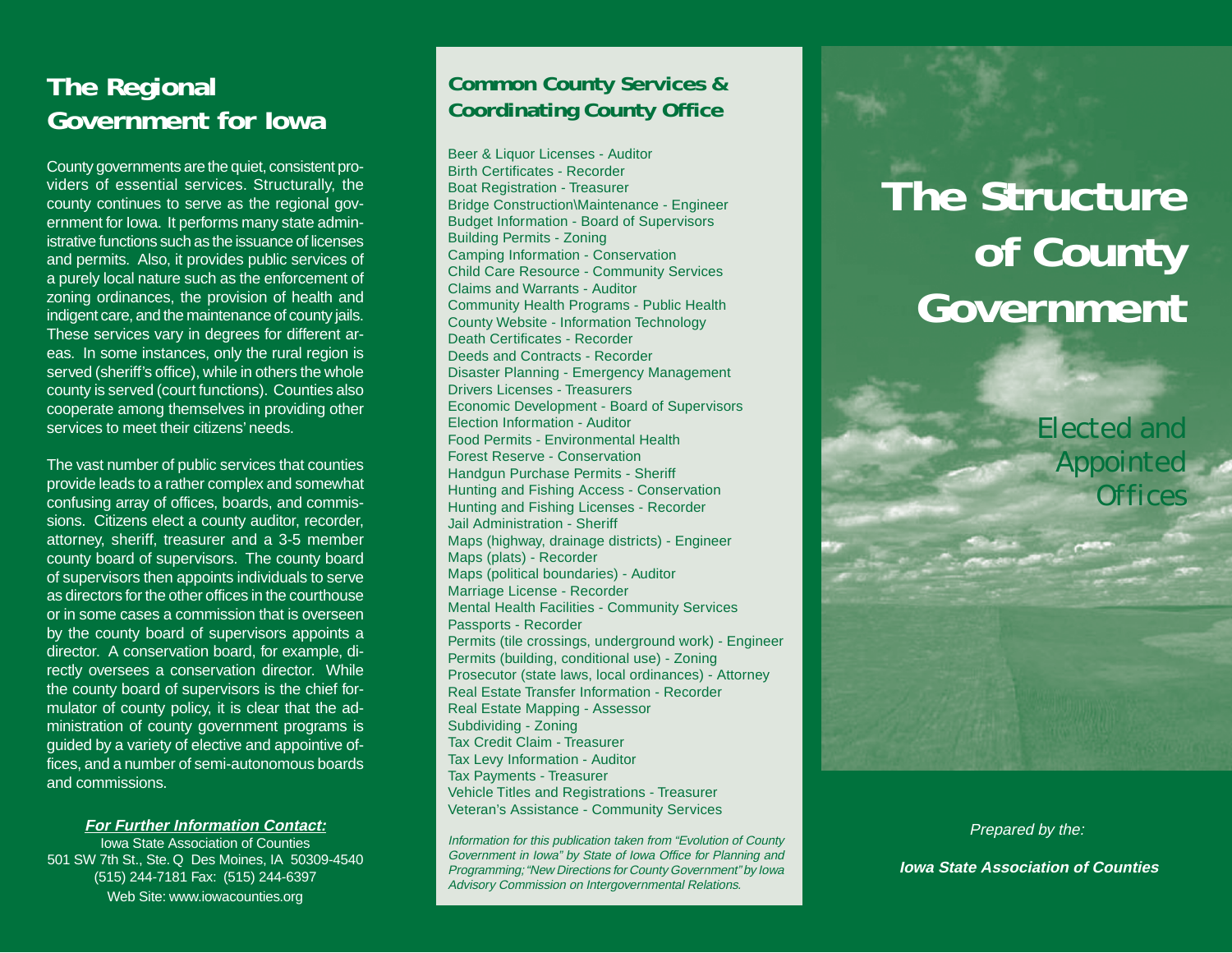## **The Regional Government for Iowa**

County governments are the quiet, consistent providers of essential services. Structurally, the county continues to serve as the regional government for Iowa. It performs many state administrative functions such as the issuance of licensesand permits. Also, it provides public services of a purely local nature such as the enforcement of zoning ordinances, the provision of health and indigent care, and the maintenance of county jails. These services vary in degrees for different areas. In some instances, only the rural region is served (sheriff's office), while in others the whole county is served (court functions). Counties also cooperate among themselves in providing other services to meet their citizens' needs.

The vast number of public services that counties provide leads to a rather complex and somewhat confusing array of offices, boards, and commissions. Citizens elect a county auditor, recorder, attorney, sheriff, treasurer and a 3-5 member county board of supervisors. The county board of supervisors then appoints individuals to serve as directors for the other offices in the courthouse or in some cases a commission that is overseenby the county board of supervisors appoints a director. A conservation board, for example, directly oversees a conservation director. While the county board of supervisors is the chief formulator of county policy, it is clear that the administration of county government programs is guided by a variety of elective and appointive offices, and a number of semi-autonomous boards and commissions.

**For Further Information Contact:**

Iowa State Association of Counties501 SW 7th St., Ste. Q Des Moines, IA 50309-4540 (515) 244-7181 Fax: (515) 244-6397 Web Site: www.iowacounties.org

### **Common County Services & Coordinating County Office**

Beer & Liquor Licenses - Auditor Birth Certificates - RecorderBoat Registration - Treasurer Bridge Construction\Maintenance - Engineer Budget Information - Board of Supervisors Building Permits - Zoning Camping Information - Conservation Child Care Resource - Community Services Claims and Warrants - AuditorCommunity Health Programs - Public Health County Website - Information Technology Death Certificates - RecorderDeeds and Contracts - RecorderDisaster Planning - Emergency Management Drivers Licenses - Treasurers Economic Development - Board of Supervisors Election Information - AuditorFood Permits - Environmental HealthForest Reserve - ConservationHandgun Purchase Permits - Sheriff Hunting and Fishing Access - Conservation Hunting and Fishing Licenses - Recorder Jail Administration - SheriffMaps (highway, drainage districts) - Engineer Maps (plats) - Recorder Maps (political boundaries) - Auditor Marriage License - Recorder Mental Health Facilities - Community Services Passports - Recorder Permits (tile crossings, underground work) - Engineer Permits (building, conditional use) - Zoning Prosecutor (state laws, local ordinances) - Attorney Real Estate Transfer Information - Recorder Real Estate Mapping - Assessor Subdividing - Zoning Tax Credit Claim - TreasurerTax Levy Information - Auditor Tax Payments - Treasurer Vehicle Titles and Registrations - Treasurer Veteran's Assistance - Community Services

Information for this publication taken from "Evolution of County Government in Iowa" by State of Iowa Office for Planning and Programming; "New Directions for County Government" by Iowa Advisory Commission on Intergovernmental Relations.

# **The Structureof County Government**

*Elected andAppointed Offices*

Prepared by the:

 **Iowa State Association of Counties**